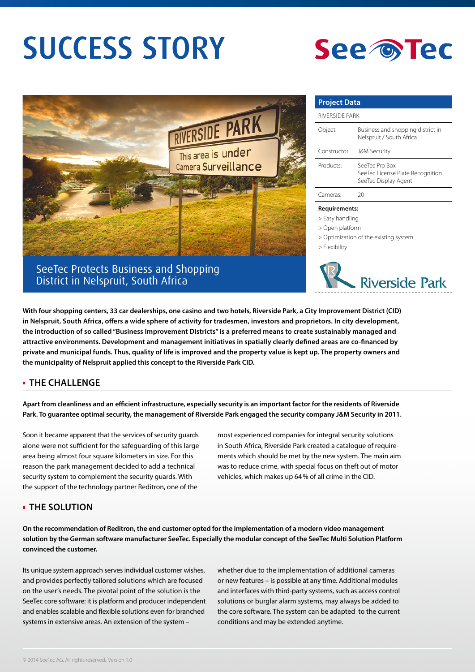# SUCCESS STORY





## SeeTec Protects Business and Shopping District in Nelspruit, South Africa

| <b>Project Data</b>  |                                                                            |
|----------------------|----------------------------------------------------------------------------|
| RIVERSIDE PARK       |                                                                            |
| Object:              | Business and shopping district in<br>Nelspruit / South Africa              |
| Constructor:         | <b>J&amp;M Security</b>                                                    |
| Products:            | SeeTec Pro Box<br>SeeTec License Plate Recognition<br>SeeTec Display Agent |
| Cameras:             | 20                                                                         |
| <b>Requirements:</b> |                                                                            |

- > Easy handling
- > Open platform
- > Optimization of the existing system
- > Flexibility



**With four shopping centers, 33 car dealerships, one casino and two hotels, Riverside Park, a City Improvement District (CID) in Nelspruit, South Africa, offers a wide sphere of activity for tradesmen, investors and proprietors. In city development, the introduction of so called "Business Improvement Districts" is a preferred means to create sustainably managed and attractive environments. Development and management initiatives in spatially clearly defined areas are co-financed by private and municipal funds. Thus, quality of life is improved and the property value is kept up. The property owners and the municipality of Nelspruit applied this concept to the Riverside Park CID.** 

#### **THE CHALLENGE**

**Apart from cleanliness and an efficient infrastructure, especially security is an important factor for the residents of Riverside Park. To guarantee optimal security, the management of Riverside Park engaged the security company J&M Security in 2011.**

Soon it became apparent that the services of security guards alone were not sufficient for the safeguarding of this large area being almost four square kilometers in size. For this reason the park management decided to add a technical security system to complement the security guards. With the support of the technology partner Reditron, one of the

most experienced companies for integral security solutions in South Africa, Riverside Park created a catalogue of requirements which should be met by the new system. The main aim was to reduce crime, with special focus on theft out of motor vehicles, which makes up 64% of all crime in the CID.

#### **THE SOLUTION**

**On the recommendation of Reditron, the end customer opted for the implementation of a modern video management solution by the German software manufacturer SeeTec. Especially the modular concept of the SeeTec Multi Solution Platform convinced the customer.**

Its unique system approach serves individual customer wishes, and provides perfectly tailored solutions which are focused on the user's needs. The pivotal point of the solution is the SeeTec core software: it is platform and producer independent and enables scalable and flexible solutions even for branched systems in extensive areas. An extension of the system –

whether due to the implementation of additional cameras or new features – is possible at any time. Additional modules and interfaces with third-party systems, such as access control solutions or burglar alarm systems, may always be added to the core software. The system can be adapted to the current conditions and may be extended anytime.